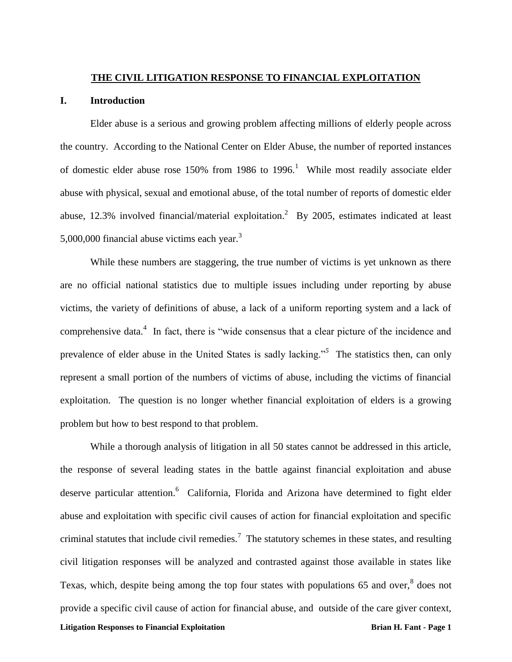### **THE CIVIL LITIGATION RESPONSE TO FINANCIAL EXPLOITATION**

## **I. Introduction**

Elder abuse is a serious and growing problem affecting millions of elderly people across the country. According to the National Center on Elder Abuse, the number of reported instances of domestic elder abuse rose  $150\%$  from 1986 to 1996.<sup>1</sup> While most readily associate elder abuse with physical, sexual and emotional abuse, of the total number of reports of domestic elder abuse, 12.3% involved financial/material exploitation.<sup>2</sup> By 2005, estimates indicated at least 5,000,000 financial abuse victims each year.<sup>3</sup>

While these numbers are staggering, the true number of victims is yet unknown as there are no official national statistics due to multiple issues including under reporting by abuse victims, the variety of definitions of abuse, a lack of a uniform reporting system and a lack of comprehensive data.<sup>4</sup> In fact, there is "wide consensus that a clear picture of the incidence and prevalence of elder abuse in the United States is sadly lacking."*<sup>5</sup>* The statistics then, can only represent a small portion of the numbers of victims of abuse, including the victims of financial exploitation. The question is no longer whether financial exploitation of elders is a growing problem but how to best respond to that problem.

**Litigation Responses to Financial Exploitation Brian H. Fant - Page 1** While a thorough analysis of litigation in all 50 states cannot be addressed in this article, the response of several leading states in the battle against financial exploitation and abuse deserve particular attention.<sup>6</sup> California, Florida and Arizona have determined to fight elder abuse and exploitation with specific civil causes of action for financial exploitation and specific criminal statutes that include civil remedies.<sup>7</sup> The statutory schemes in these states, and resulting civil litigation responses will be analyzed and contrasted against those available in states like Texas, which, despite being among the top four states with populations  $65$  and over,  $8$  does not provide a specific civil cause of action for financial abuse, and outside of the care giver context,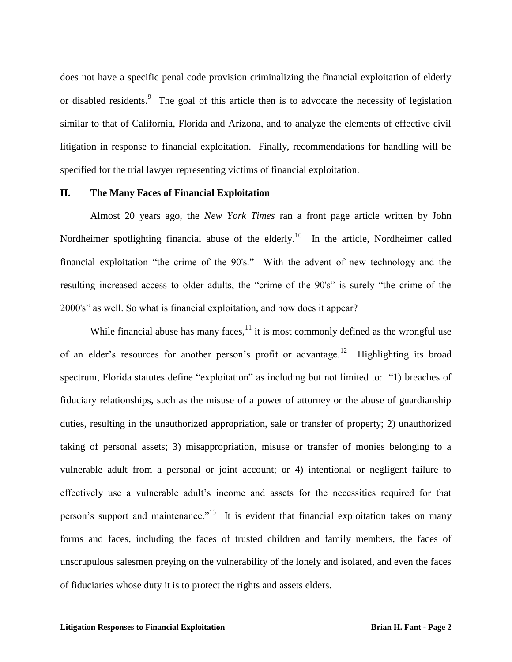does not have a specific penal code provision criminalizing the financial exploitation of elderly or disabled residents.<sup>9</sup> The goal of this article then is to advocate the necessity of legislation similar to that of California, Florida and Arizona, and to analyze the elements of effective civil litigation in response to financial exploitation. Finally, recommendations for handling will be specified for the trial lawyer representing victims of financial exploitation.

# **II. The Many Faces of Financial Exploitation**

Almost 20 years ago, the *New York Times* ran a front page article written by John Nordheimer spotlighting financial abuse of the elderly.<sup>10</sup> In the article, Nordheimer called financial exploitation "the crime of the 90's." With the advent of new technology and the resulting increased access to older adults, the "crime of the 90's" is surely "the crime of the 2000's" as well. So what is financial exploitation, and how does it appear?

While financial abuse has many faces, $11$  it is most commonly defined as the wrongful use of an elder's resources for another person's profit or advantage.<sup>12</sup> Highlighting its broad spectrum, Florida statutes define "exploitation" as including but not limited to: "1) breaches of fiduciary relationships, such as the misuse of a power of attorney or the abuse of guardianship duties, resulting in the unauthorized appropriation, sale or transfer of property; 2) unauthorized taking of personal assets; 3) misappropriation, misuse or transfer of monies belonging to a vulnerable adult from a personal or joint account; or 4) intentional or negligent failure to effectively use a vulnerable adult's income and assets for the necessities required for that person's support and maintenance."<sup>13</sup> It is evident that financial exploitation takes on many forms and faces, including the faces of trusted children and family members, the faces of unscrupulous salesmen preying on the vulnerability of the lonely and isolated, and even the faces of fiduciaries whose duty it is to protect the rights and assets elders.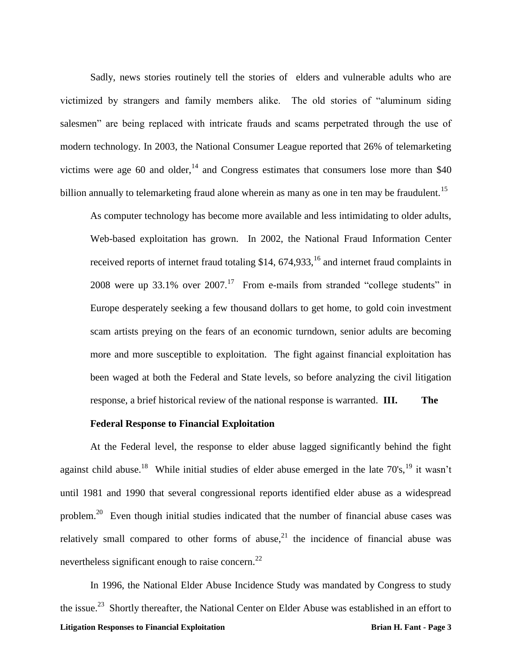Sadly, news stories routinely tell the stories of elders and vulnerable adults who are victimized by strangers and family members alike. The old stories of "aluminum siding salesmen" are being replaced with intricate frauds and scams perpetrated through the use of modern technology. In 2003, the National Consumer League reported that 26% of telemarketing victims were age 60 and older,<sup>14</sup> and Congress estimates that consumers lose more than \$40 billion annually to telemarketing fraud alone wherein as many as one in ten may be fraudulent.<sup>15</sup>

As computer technology has become more available and less intimidating to older adults, Web-based exploitation has grown. In 2002, the National Fraud Information Center received reports of internet fraud totaling  $$14, 674,933$ ,<sup>16</sup> and internet fraud complaints in 2008 were up 33.1% over  $2007$ .<sup>17</sup> From e-mails from stranded "college students" in Europe desperately seeking a few thousand dollars to get home, to gold coin investment scam artists preying on the fears of an economic turndown, senior adults are becoming more and more susceptible to exploitation. The fight against financial exploitation has been waged at both the Federal and State levels, so before analyzing the civil litigation response, a brief historical review of the national response is warranted. **III. The** 

#### **Federal Response to Financial Exploitation**

At the Federal level, the response to elder abuse lagged significantly behind the fight against child abuse.<sup>18</sup> While initial studies of elder abuse emerged in the late 70's,<sup>19</sup> it wasn't until 1981 and 1990 that several congressional reports identified elder abuse as a widespread problem.<sup>20</sup> Even though initial studies indicated that the number of financial abuse cases was relatively small compared to other forms of abuse,<sup>21</sup> the incidence of financial abuse was nevertheless significant enough to raise concern.<sup>22</sup>

**Litigation Responses to Financial Exploitation Brian H. Fant - Page 3** In 1996, the National Elder Abuse Incidence Study was mandated by Congress to study the issue.<sup>23</sup> Shortly thereafter, the National Center on Elder Abuse was established in an effort to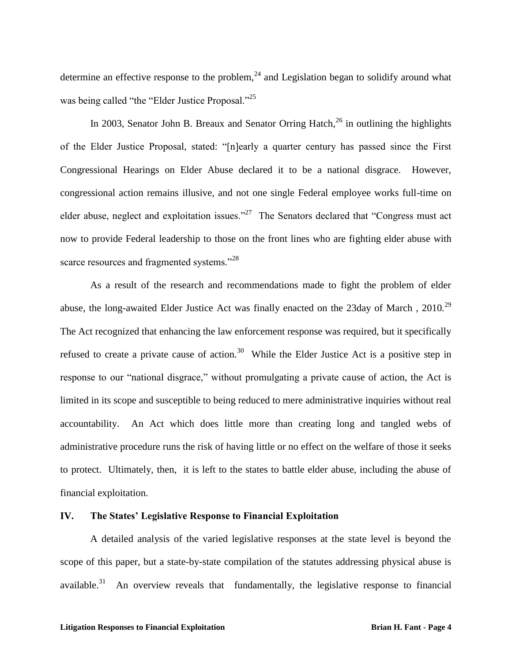determine an effective response to the problem,  $24$  and Legislation began to solidify around what was being called "the "Elder Justice Proposal."<sup>25</sup>

In 2003, Senator John B. Breaux and Senator Orring Hatch,<sup>26</sup> in outlining the highlights of the Elder Justice Proposal, stated: "[n]early a quarter century has passed since the First Congressional Hearings on Elder Abuse declared it to be a national disgrace. However, congressional action remains illusive, and not one single Federal employee works full-time on elder abuse, neglect and exploitation issues."<sup>27</sup> The Senators declared that "Congress must act now to provide Federal leadership to those on the front lines who are fighting elder abuse with scarce resources and fragmented systems."<sup>28</sup>

As a result of the research and recommendations made to fight the problem of elder abuse, the long-awaited Elder Justice Act was finally enacted on the 23day of March,  $2010^{29}$ The Act recognized that enhancing the law enforcement response was required, but it specifically refused to create a private cause of action.<sup>30</sup> While the Elder Justice Act is a positive step in response to our "national disgrace," without promulgating a private cause of action, the Act is limited in its scope and susceptible to being reduced to mere administrative inquiries without real accountability. An Act which does little more than creating long and tangled webs of administrative procedure runs the risk of having little or no effect on the welfare of those it seeks to protect. Ultimately, then, it is left to the states to battle elder abuse, including the abuse of financial exploitation.

## **IV. The States' Legislative Response to Financial Exploitation**

A detailed analysis of the varied legislative responses at the state level is beyond the scope of this paper, but a state-by-state compilation of the statutes addressing physical abuse is available.<sup>31</sup> An overview reveals that fundamentally, the legislative response to financial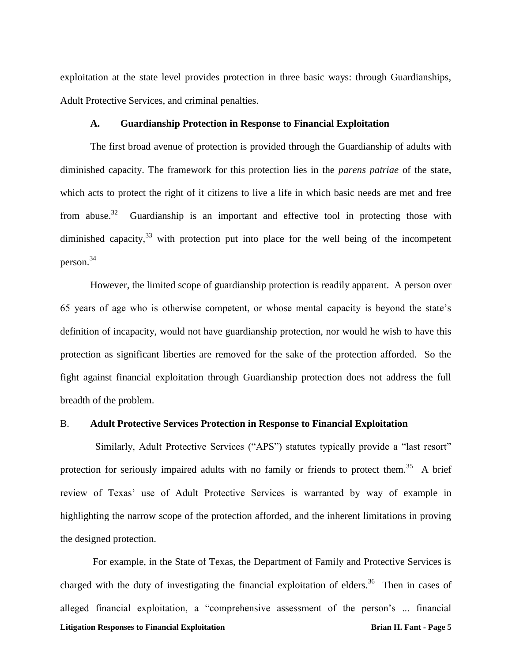exploitation at the state level provides protection in three basic ways: through Guardianships, Adult Protective Services, and criminal penalties.

# **A. Guardianship Protection in Response to Financial Exploitation**

The first broad avenue of protection is provided through the Guardianship of adults with diminished capacity. The framework for this protection lies in the *parens patriae* of the state, which acts to protect the right of it citizens to live a life in which basic needs are met and free from abuse. $32$  Guardianship is an important and effective tool in protecting those with diminished capacity,  $33$  with protection put into place for the well being of the incompetent person. 34

However, the limited scope of guardianship protection is readily apparent. A person over 65 years of age who is otherwise competent, or whose mental capacity is beyond the state's definition of incapacity, would not have guardianship protection, nor would he wish to have this protection as significant liberties are removed for the sake of the protection afforded. So the fight against financial exploitation through Guardianship protection does not address the full breadth of the problem.

### B. **Adult Protective Services Protection in Response to Financial Exploitation**

 Similarly, Adult Protective Services ("APS") statutes typically provide a "last resort" protection for seriously impaired adults with no family or friends to protect them.<sup>35</sup> A brief review of Texas' use of Adult Protective Services is warranted by way of example in highlighting the narrow scope of the protection afforded, and the inherent limitations in proving the designed protection.

**Litigation Responses to Financial Exploitation Brian H. Fant - Page 5** For example, in the State of Texas, the Department of Family and Protective Services is charged with the duty of investigating the financial exploitation of elders.<sup>36</sup> Then in cases of alleged financial exploitation, a "comprehensive assessment of the person's ... financial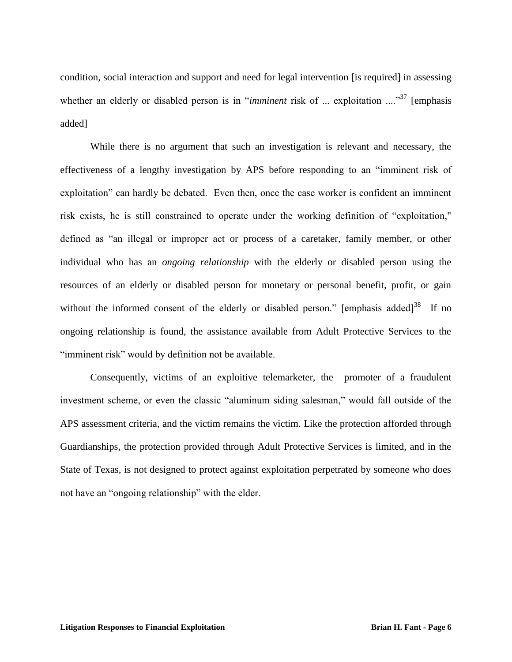condition, social interaction and support and need for legal intervention [is required] in assessing whether an elderly or disabled person is in "*imminent* risk of ... exploitation ...."<sup>37</sup> [emphasis added]

While there is no argument that such an investigation is relevant and necessary, the effectiveness of a lengthy investigation by APS before responding to an "imminent risk of exploitation" can hardly be debated. Even then, once the case worker is confident an imminent risk exists, he is still constrained to operate under the working definition of "exploitation," defined as "an illegal or improper act or process of a caretaker, family member, or other individual who has an *ongoing relationship* with the elderly or disabled person using the resources of an elderly or disabled person for monetary or personal benefit, profit, or gain without the informed consent of the elderly or disabled person." [emphasis added]<sup>38</sup> If no ongoing relationship is found, the assistance available from Adult Protective Services to the "imminent risk" would by definition not be available.

Consequently, victims of an exploitive telemarketer, the promoter of a fraudulent investment scheme, or even the classic "aluminum siding salesman," would fall outside of the APS assessment criteria, and the victim remains the victim. Like the protection afforded through Guardianships, the protection provided through Adult Protective Services is limited, and in the State of Texas, is not designed to protect against exploitation perpetrated by someone who does not have an "ongoing relationship" with the elder.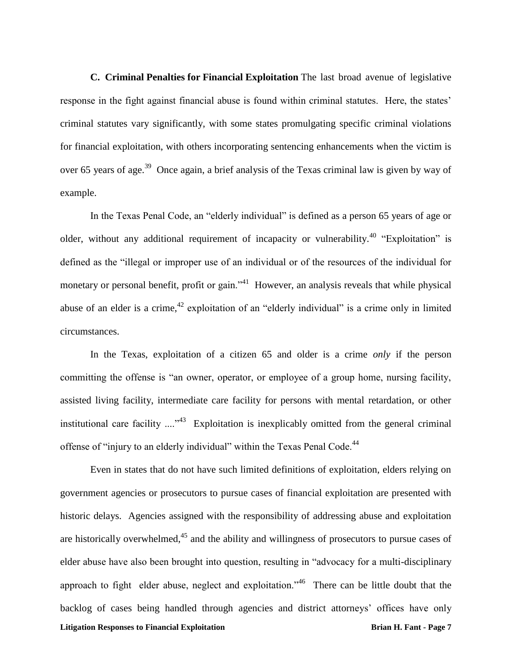**C. Criminal Penalties for Financial Exploitation** The last broad avenue of legislative response in the fight against financial abuse is found within criminal statutes. Here, the states' criminal statutes vary significantly, with some states promulgating specific criminal violations for financial exploitation, with others incorporating sentencing enhancements when the victim is over 65 years of age.<sup>39</sup> Once again, a brief analysis of the Texas criminal law is given by way of example.

In the Texas Penal Code, an "elderly individual" is defined as a person 65 years of age or older, without any additional requirement of incapacity or vulnerability.<sup>40</sup> "Exploitation" is defined as the "illegal or improper use of an individual or of the resources of the individual for monetary or personal benefit, profit or gain."<sup>41</sup> However, an analysis reveals that while physical abuse of an elder is a crime,  $42$  exploitation of an "elderly individual" is a crime only in limited circumstances.

In the Texas, exploitation of a citizen 65 and older is a crime *only* if the person committing the offense is "an owner, operator, or employee of a group home, nursing facility, assisted living facility, intermediate care facility for persons with mental retardation, or other institutional care facility  $\ldots$ <sup>43</sup> Exploitation is inexplicably omitted from the general criminal offense of "injury to an elderly individual" within the Texas Penal Code.<sup>44</sup>

**Litigation Responses to Financial Exploitation Brian H. Fant - Page 7** Even in states that do not have such limited definitions of exploitation, elders relying on government agencies or prosecutors to pursue cases of financial exploitation are presented with historic delays. Agencies assigned with the responsibility of addressing abuse and exploitation are historically overwhelmed, $45$  and the ability and willingness of prosecutors to pursue cases of elder abuse have also been brought into question, resulting in "advocacy for a multi-disciplinary approach to fight elder abuse, neglect and exploitation.<sup> $146$ </sup> There can be little doubt that the backlog of cases being handled through agencies and district attorneys' offices have only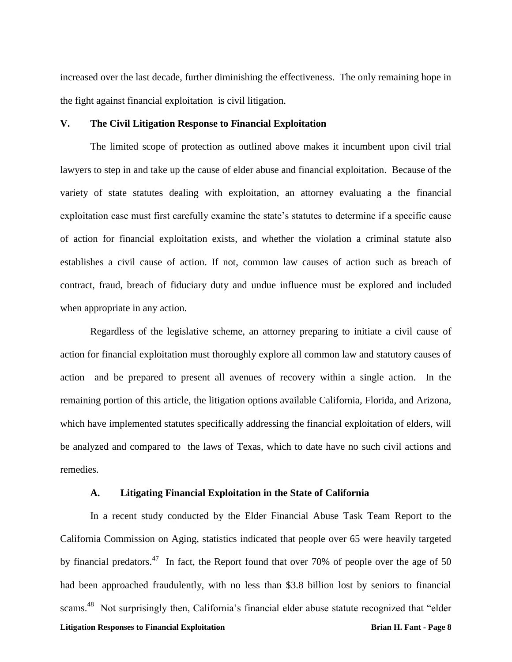increased over the last decade, further diminishing the effectiveness. The only remaining hope in the fight against financial exploitation is civil litigation.

### **V. The Civil Litigation Response to Financial Exploitation**

The limited scope of protection as outlined above makes it incumbent upon civil trial lawyers to step in and take up the cause of elder abuse and financial exploitation. Because of the variety of state statutes dealing with exploitation, an attorney evaluating a the financial exploitation case must first carefully examine the state's statutes to determine if a specific cause of action for financial exploitation exists, and whether the violation a criminal statute also establishes a civil cause of action. If not, common law causes of action such as breach of contract, fraud, breach of fiduciary duty and undue influence must be explored and included when appropriate in any action.

Regardless of the legislative scheme, an attorney preparing to initiate a civil cause of action for financial exploitation must thoroughly explore all common law and statutory causes of action and be prepared to present all avenues of recovery within a single action. In the remaining portion of this article, the litigation options available California, Florida, and Arizona, which have implemented statutes specifically addressing the financial exploitation of elders, will be analyzed and compared to the laws of Texas, which to date have no such civil actions and remedies.

### **A. Litigating Financial Exploitation in the State of California**

**Litigation Responses to Financial Exploitation Brian H. Fant - Page 8** In a recent study conducted by the Elder Financial Abuse Task Team Report to the California Commission on Aging, statistics indicated that people over 65 were heavily targeted by financial predators.<sup>47</sup> In fact, the Report found that over 70% of people over the age of 50 had been approached fraudulently, with no less than \$3.8 billion lost by seniors to financial scams.<sup>48</sup> Not surprisingly then, California's financial elder abuse statute recognized that "elder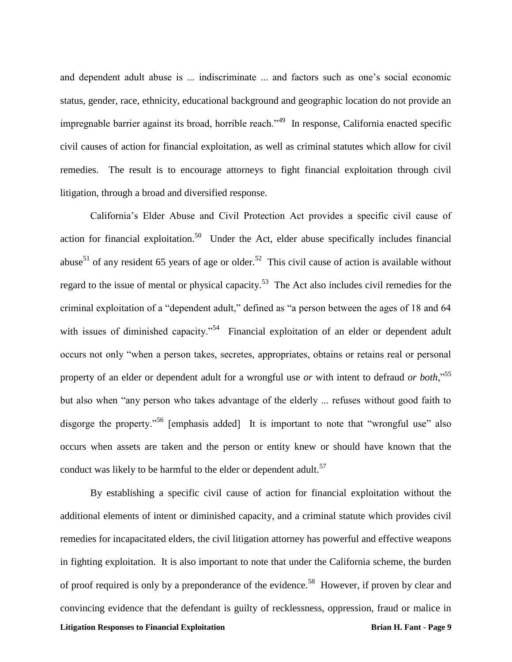and dependent adult abuse is ... indiscriminate ... and factors such as one's social economic status, gender, race, ethnicity, educational background and geographic location do not provide an impregnable barrier against its broad, horrible reach."<sup>49</sup> In response, California enacted specific civil causes of action for financial exploitation, as well as criminal statutes which allow for civil remedies. The result is to encourage attorneys to fight financial exploitation through civil litigation, through a broad and diversified response.

California's Elder Abuse and Civil Protection Act provides a specific civil cause of action for financial exploitation.<sup>50</sup> Under the Act, elder abuse specifically includes financial abuse<sup>51</sup> of any resident 65 years of age or older.<sup>52</sup> This civil cause of action is available without regard to the issue of mental or physical capacity.<sup>53</sup> The Act also includes civil remedies for the criminal exploitation of a "dependent adult," defined as "a person between the ages of 18 and 64 with issues of diminished capacity."<sup>54</sup> Financial exploitation of an elder or dependent adult occurs not only "when a person takes, secretes, appropriates, obtains or retains real or personal property of an elder or dependent adult for a wrongful use *or* with intent to defraud *or both*,"<sup>55</sup> but also when "any person who takes advantage of the elderly ... refuses without good faith to disgorge the property."<sup>56</sup> [emphasis added] It is important to note that "wrongful use" also occurs when assets are taken and the person or entity knew or should have known that the conduct was likely to be harmful to the elder or dependent adult.<sup>57</sup>

**Litigation Responses to Financial Exploitation Brian H. Fant - Page 9** By establishing a specific civil cause of action for financial exploitation without the additional elements of intent or diminished capacity, and a criminal statute which provides civil remedies for incapacitated elders, the civil litigation attorney has powerful and effective weapons in fighting exploitation. It is also important to note that under the California scheme, the burden of proof required is only by a preponderance of the evidence.<sup>58</sup> However, if proven by clear and convincing evidence that the defendant is guilty of recklessness, oppression, fraud or malice in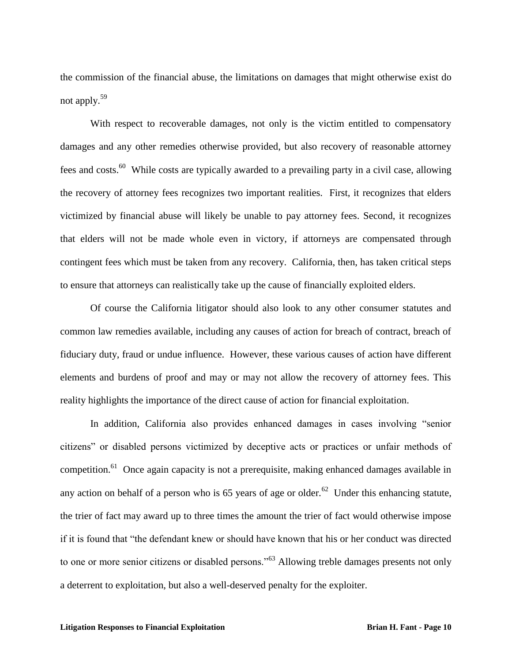the commission of the financial abuse, the limitations on damages that might otherwise exist do not apply.<sup>59</sup>

With respect to recoverable damages, not only is the victim entitled to compensatory damages and any other remedies otherwise provided, but also recovery of reasonable attorney fees and costs.<sup>60</sup> While costs are typically awarded to a prevailing party in a civil case, allowing the recovery of attorney fees recognizes two important realities. First, it recognizes that elders victimized by financial abuse will likely be unable to pay attorney fees. Second, it recognizes that elders will not be made whole even in victory, if attorneys are compensated through contingent fees which must be taken from any recovery. California, then, has taken critical steps to ensure that attorneys can realistically take up the cause of financially exploited elders.

Of course the California litigator should also look to any other consumer statutes and common law remedies available, including any causes of action for breach of contract, breach of fiduciary duty, fraud or undue influence. However, these various causes of action have different elements and burdens of proof and may or may not allow the recovery of attorney fees. This reality highlights the importance of the direct cause of action for financial exploitation.

In addition, California also provides enhanced damages in cases involving "senior citizens" or disabled persons victimized by deceptive acts or practices or unfair methods of competition.<sup>61</sup> Once again capacity is not a prerequisite, making enhanced damages available in any action on behalf of a person who is 65 years of age or older.<sup>62</sup> Under this enhancing statute, the trier of fact may award up to three times the amount the trier of fact would otherwise impose if it is found that "the defendant knew or should have known that his or her conduct was directed to one or more senior citizens or disabled persons."<sup>63</sup> Allowing treble damages presents not only a deterrent to exploitation, but also a well-deserved penalty for the exploiter.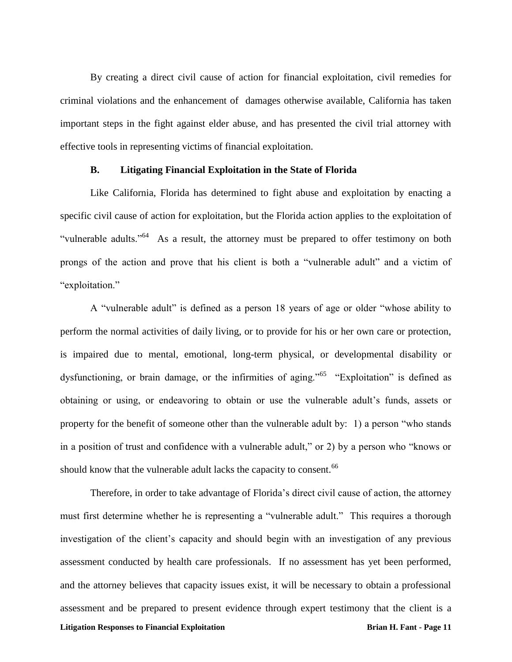By creating a direct civil cause of action for financial exploitation, civil remedies for criminal violations and the enhancement of damages otherwise available, California has taken important steps in the fight against elder abuse, and has presented the civil trial attorney with effective tools in representing victims of financial exploitation.

### **B. Litigating Financial Exploitation in the State of Florida**

Like California, Florida has determined to fight abuse and exploitation by enacting a specific civil cause of action for exploitation, but the Florida action applies to the exploitation of "vulnerable adults."<sup>64</sup> As a result, the attorney must be prepared to offer testimony on both prongs of the action and prove that his client is both a "vulnerable adult" and a victim of "exploitation."

A "vulnerable adult" is defined as a person 18 years of age or older "whose ability to perform the normal activities of daily living, or to provide for his or her own care or protection, is impaired due to mental, emotional, long-term physical, or developmental disability or dysfunctioning, or brain damage, or the infirmities of aging."<sup>65</sup> "Exploitation" is defined as obtaining or using, or endeavoring to obtain or use the vulnerable adult's funds, assets or property for the benefit of someone other than the vulnerable adult by: 1) a person "who stands in a position of trust and confidence with a vulnerable adult," or 2) by a person who "knows or should know that the vulnerable adult lacks the capacity to consent.<sup>66</sup>

**Litigation Responses to Financial Exploitation Brian H. Fant - Page 11** Therefore, in order to take advantage of Florida's direct civil cause of action, the attorney must first determine whether he is representing a "vulnerable adult." This requires a thorough investigation of the client's capacity and should begin with an investigation of any previous assessment conducted by health care professionals. If no assessment has yet been performed, and the attorney believes that capacity issues exist, it will be necessary to obtain a professional assessment and be prepared to present evidence through expert testimony that the client is a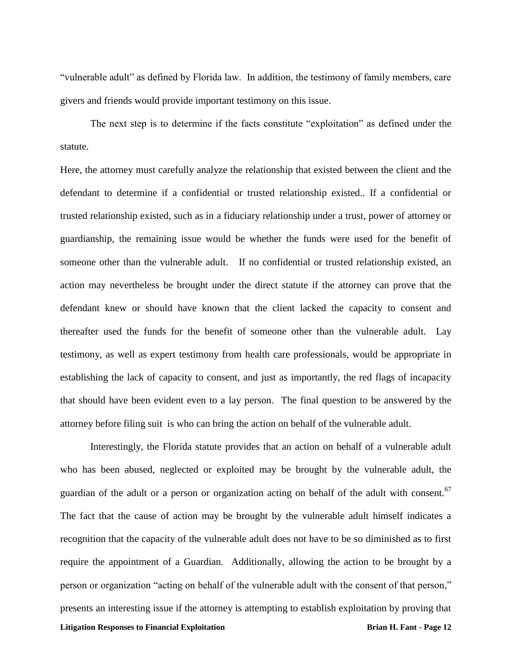"vulnerable adult" as defined by Florida law. In addition, the testimony of family members, care givers and friends would provide important testimony on this issue.

The next step is to determine if the facts constitute "exploitation" as defined under the statute.

Here, the attorney must carefully analyze the relationship that existed between the client and the defendant to determine if a confidential or trusted relationship existed.. If a confidential or trusted relationship existed, such as in a fiduciary relationship under a trust, power of attorney or guardianship, the remaining issue would be whether the funds were used for the benefit of someone other than the vulnerable adult. If no confidential or trusted relationship existed, an action may nevertheless be brought under the direct statute if the attorney can prove that the defendant knew or should have known that the client lacked the capacity to consent and thereafter used the funds for the benefit of someone other than the vulnerable adult. Lay testimony, as well as expert testimony from health care professionals, would be appropriate in establishing the lack of capacity to consent, and just as importantly, the red flags of incapacity that should have been evident even to a lay person. The final question to be answered by the attorney before filing suit is who can bring the action on behalf of the vulnerable adult.

**Litigation Responses to Financial Exploitation Brian H. Fant - Page 12** Interestingly, the Florida statute provides that an action on behalf of a vulnerable adult who has been abused, neglected or exploited may be brought by the vulnerable adult, the guardian of the adult or a person or organization acting on behalf of the adult with consent.<sup>67</sup> The fact that the cause of action may be brought by the vulnerable adult himself indicates a recognition that the capacity of the vulnerable adult does not have to be so diminished as to first require the appointment of a Guardian. Additionally, allowing the action to be brought by a person or organization "acting on behalf of the vulnerable adult with the consent of that person," presents an interesting issue if the attorney is attempting to establish exploitation by proving that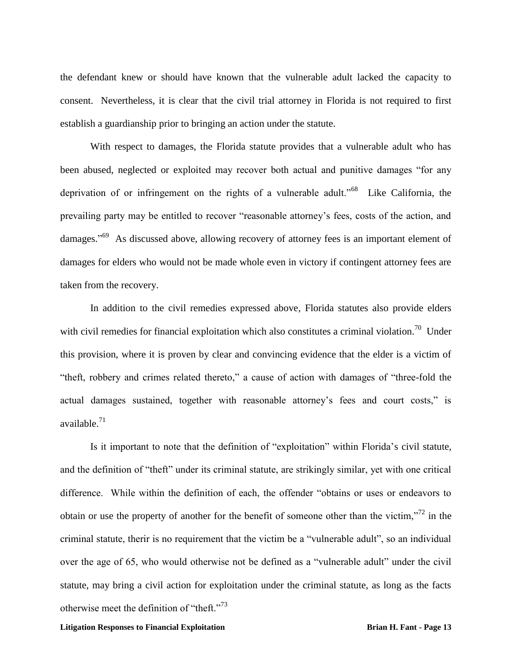the defendant knew or should have known that the vulnerable adult lacked the capacity to consent. Nevertheless, it is clear that the civil trial attorney in Florida is not required to first establish a guardianship prior to bringing an action under the statute.

With respect to damages, the Florida statute provides that a vulnerable adult who has been abused, neglected or exploited may recover both actual and punitive damages "for any deprivation of or infringement on the rights of a vulnerable adult."<sup>68</sup> Like California, the prevailing party may be entitled to recover "reasonable attorney's fees, costs of the action, and damages."<sup>69</sup> As discussed above, allowing recovery of attorney fees is an important element of damages for elders who would not be made whole even in victory if contingent attorney fees are taken from the recovery.

In addition to the civil remedies expressed above, Florida statutes also provide elders with civil remedies for financial exploitation which also constitutes a criminal violation.<sup>70</sup> Under this provision, where it is proven by clear and convincing evidence that the elder is a victim of "theft, robbery and crimes related thereto," a cause of action with damages of "three-fold the actual damages sustained, together with reasonable attorney's fees and court costs," is available.<sup>71</sup>

Is it important to note that the definition of "exploitation" within Florida's civil statute, and the definition of "theft" under its criminal statute, are strikingly similar, yet with one critical difference. While within the definition of each, the offender "obtains or uses or endeavors to obtain or use the property of another for the benefit of someone other than the victim,"<sup>72</sup> in the criminal statute, therir is no requirement that the victim be a "vulnerable adult", so an individual over the age of 65, who would otherwise not be defined as a "vulnerable adult" under the civil statute, may bring a civil action for exploitation under the criminal statute, as long as the facts otherwise meet the definition of "theft."<sup>73</sup>

#### **Litigation Responses to Financial Exploitation Brian H. Fant - Page 13**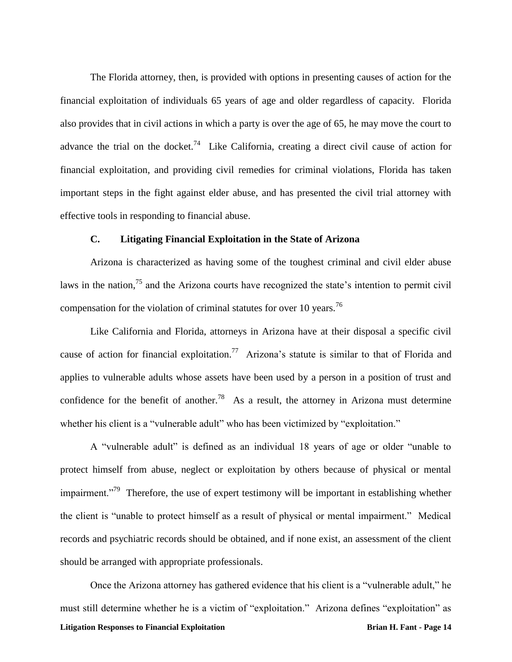The Florida attorney, then, is provided with options in presenting causes of action for the financial exploitation of individuals 65 years of age and older regardless of capacity. Florida also provides that in civil actions in which a party is over the age of 65, he may move the court to advance the trial on the docket.<sup>74</sup> Like California, creating a direct civil cause of action for financial exploitation, and providing civil remedies for criminal violations, Florida has taken important steps in the fight against elder abuse, and has presented the civil trial attorney with effective tools in responding to financial abuse.

# **C. Litigating Financial Exploitation in the State of Arizona**

Arizona is characterized as having some of the toughest criminal and civil elder abuse laws in the nation, $^{75}$  and the Arizona courts have recognized the state's intention to permit civil compensation for the violation of criminal statutes for over 10 years.<sup>76</sup>

Like California and Florida, attorneys in Arizona have at their disposal a specific civil cause of action for financial exploitation.<sup>77</sup> Arizona's statute is similar to that of Florida and applies to vulnerable adults whose assets have been used by a person in a position of trust and confidence for the benefit of another.<sup>78</sup> As a result, the attorney in Arizona must determine whether his client is a "vulnerable adult" who has been victimized by "exploitation."

A "vulnerable adult" is defined as an individual 18 years of age or older "unable to protect himself from abuse, neglect or exploitation by others because of physical or mental impairment."<sup>79</sup> Therefore, the use of expert testimony will be important in establishing whether the client is "unable to protect himself as a result of physical or mental impairment." Medical records and psychiatric records should be obtained, and if none exist, an assessment of the client should be arranged with appropriate professionals.

**Litigation Responses to Financial Exploitation Brian H. Fant - Page 14** Once the Arizona attorney has gathered evidence that his client is a "vulnerable adult," he must still determine whether he is a victim of "exploitation." Arizona defines "exploitation" as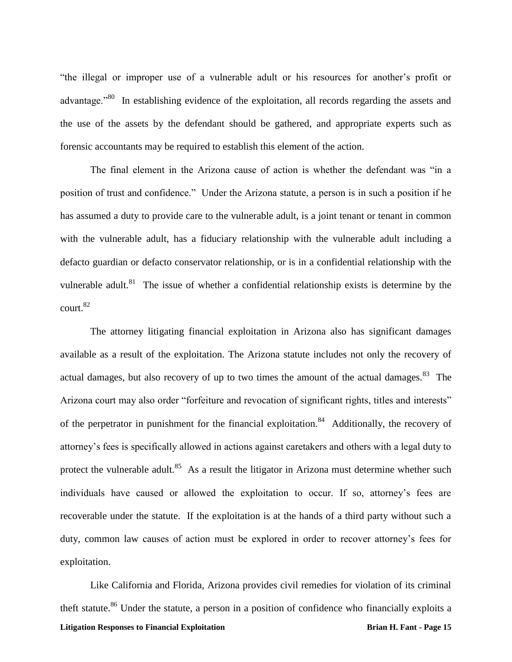"the illegal or improper use of a vulnerable adult or his resources for another's profit or advantage."<sup>80</sup> In establishing evidence of the exploitation, all records regarding the assets and the use of the assets by the defendant should be gathered, and appropriate experts such as forensic accountants may be required to establish this element of the action.

The final element in the Arizona cause of action is whether the defendant was "in a position of trust and confidence." Under the Arizona statute, a person is in such a position if he has assumed a duty to provide care to the vulnerable adult, is a joint tenant or tenant in common with the vulnerable adult, has a fiduciary relationship with the vulnerable adult including a defacto guardian or defacto conservator relationship, or is in a confidential relationship with the vulnerable adult. $81$  The issue of whether a confidential relationship exists is determine by the  $\text{court.}^{82}$ 

The attorney litigating financial exploitation in Arizona also has significant damages available as a result of the exploitation. The Arizona statute includes not only the recovery of actual damages, but also recovery of up to two times the amount of the actual damages. <sup>83</sup> The Arizona court may also order "forfeiture and revocation of significant rights, titles and interests" of the perpetrator in punishment for the financial exploitation.<sup>84</sup> Additionally, the recovery of attorney's fees is specifically allowed in actions against caretakers and others with a legal duty to protect the vulnerable adult.<sup>85</sup> As a result the litigator in Arizona must determine whether such individuals have caused or allowed the exploitation to occur. If so, attorney's fees are recoverable under the statute. If the exploitation is at the hands of a third party without such a duty, common law causes of action must be explored in order to recover attorney's fees for exploitation.

**Litigation Responses to Financial Exploitation Brian H. Fant - Page 15** Like California and Florida, Arizona provides civil remedies for violation of its criminal theft statute.<sup>86</sup> Under the statute, a person in a position of confidence who financially exploits a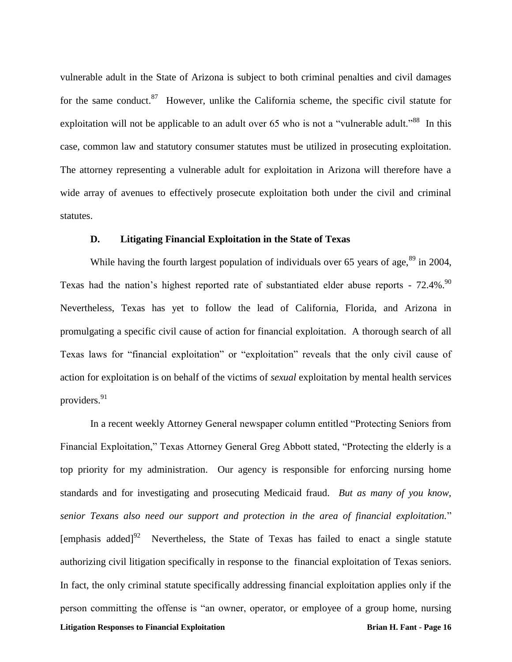vulnerable adult in the State of Arizona is subject to both criminal penalties and civil damages for the same conduct.<sup>87</sup> However, unlike the California scheme, the specific civil statute for exploitation will not be applicable to an adult over 65 who is not a "vulnerable adult."<sup>88</sup> In this case, common law and statutory consumer statutes must be utilized in prosecuting exploitation. The attorney representing a vulnerable adult for exploitation in Arizona will therefore have a wide array of avenues to effectively prosecute exploitation both under the civil and criminal statutes.

# **D. Litigating Financial Exploitation in the State of Texas**

While having the fourth largest population of individuals over 65 years of age,  $89$  in 2004, Texas had the nation's highest reported rate of substantiated elder abuse reports -  $72.4\%$ .<sup>90</sup> Nevertheless, Texas has yet to follow the lead of California, Florida, and Arizona in promulgating a specific civil cause of action for financial exploitation. A thorough search of all Texas laws for "financial exploitation" or "exploitation" reveals that the only civil cause of action for exploitation is on behalf of the victims of *sexual* exploitation by mental health services providers.<sup>91</sup>

**Litigation Responses to Financial Exploitation Brian H. Fant - Page 16** In a recent weekly Attorney General newspaper column entitled "Protecting Seniors from Financial Exploitation," Texas Attorney General Greg Abbott stated, "Protecting the elderly is a top priority for my administration. Our agency is responsible for enforcing nursing home standards and for investigating and prosecuting Medicaid fraud. *But as many of you know, senior Texans also need our support and protection in the area of financial exploitation.*" [emphasis added] $92$  Nevertheless, the State of Texas has failed to enact a single statute authorizing civil litigation specifically in response to the financial exploitation of Texas seniors. In fact, the only criminal statute specifically addressing financial exploitation applies only if the person committing the offense is "an owner, operator, or employee of a group home, nursing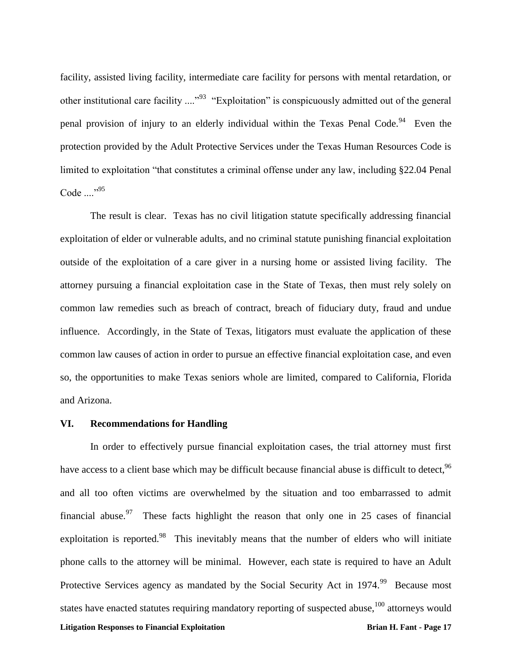facility, assisted living facility, intermediate care facility for persons with mental retardation, or other institutional care facility ...."<sup>93</sup> "Exploitation" is conspicuously admitted out of the general penal provision of injury to an elderly individual within the Texas Penal Code.<sup>94</sup> Even the protection provided by the Adult Protective Services under the Texas Human Resources Code is limited to exploitation "that constitutes a criminal offense under any law, including §22.04 Penal Code  $\ldots$ <sup>95</sup>

The result is clear. Texas has no civil litigation statute specifically addressing financial exploitation of elder or vulnerable adults, and no criminal statute punishing financial exploitation outside of the exploitation of a care giver in a nursing home or assisted living facility. The attorney pursuing a financial exploitation case in the State of Texas, then must rely solely on common law remedies such as breach of contract, breach of fiduciary duty, fraud and undue influence. Accordingly, in the State of Texas, litigators must evaluate the application of these common law causes of action in order to pursue an effective financial exploitation case, and even so, the opportunities to make Texas seniors whole are limited, compared to California, Florida and Arizona.

### **VI. Recommendations for Handling**

**Litigation Responses to Financial Exploitation Brian H. Fant - Page 17** In order to effectively pursue financial exploitation cases, the trial attorney must first have access to a client base which may be difficult because financial abuse is difficult to detect, <sup>96</sup> and all too often victims are overwhelmed by the situation and too embarrassed to admit financial abuse.<sup>97</sup> These facts highlight the reason that only one in 25 cases of financial exploitation is reported.<sup>98</sup> This inevitably means that the number of elders who will initiate phone calls to the attorney will be minimal. However, each state is required to have an Adult Protective Services agency as mandated by the Social Security Act in 1974.<sup>99</sup> Because most states have enacted statutes requiring mandatory reporting of suspected abuse,  $100$  attorneys would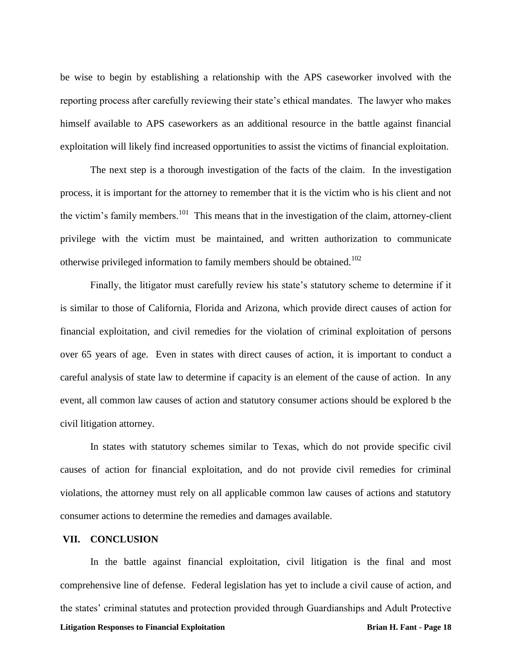be wise to begin by establishing a relationship with the APS caseworker involved with the reporting process after carefully reviewing their state's ethical mandates. The lawyer who makes himself available to APS caseworkers as an additional resource in the battle against financial exploitation will likely find increased opportunities to assist the victims of financial exploitation.

The next step is a thorough investigation of the facts of the claim. In the investigation process, it is important for the attorney to remember that it is the victim who is his client and not the victim's family members.<sup>101</sup> This means that in the investigation of the claim, attorney-client privilege with the victim must be maintained, and written authorization to communicate otherwise privileged information to family members should be obtained.<sup>102</sup>

Finally, the litigator must carefully review his state's statutory scheme to determine if it is similar to those of California, Florida and Arizona, which provide direct causes of action for financial exploitation, and civil remedies for the violation of criminal exploitation of persons over 65 years of age. Even in states with direct causes of action, it is important to conduct a careful analysis of state law to determine if capacity is an element of the cause of action. In any event, all common law causes of action and statutory consumer actions should be explored b the civil litigation attorney.

In states with statutory schemes similar to Texas, which do not provide specific civil causes of action for financial exploitation, and do not provide civil remedies for criminal violations, the attorney must rely on all applicable common law causes of actions and statutory consumer actions to determine the remedies and damages available.

#### **VII. CONCLUSION**

**Litigation Responses to Financial Exploitation Brian H. Fant - Page 18** In the battle against financial exploitation, civil litigation is the final and most comprehensive line of defense. Federal legislation has yet to include a civil cause of action, and the states' criminal statutes and protection provided through Guardianships and Adult Protective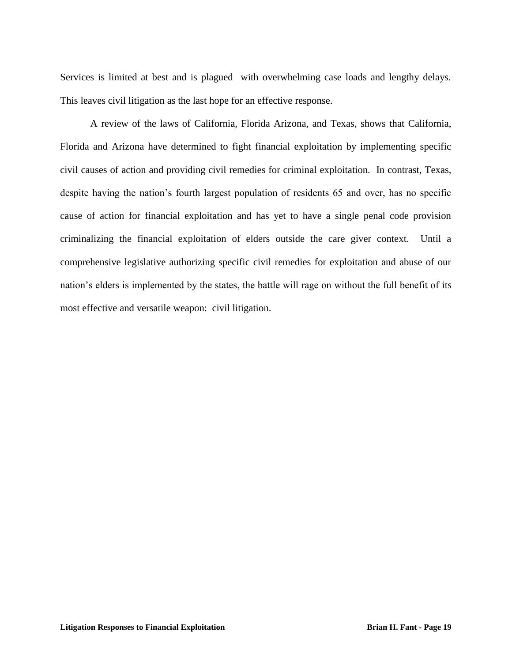Services is limited at best and is plagued with overwhelming case loads and lengthy delays. This leaves civil litigation as the last hope for an effective response.

A review of the laws of California, Florida Arizona, and Texas, shows that California, Florida and Arizona have determined to fight financial exploitation by implementing specific civil causes of action and providing civil remedies for criminal exploitation. In contrast, Texas, despite having the nation's fourth largest population of residents 65 and over, has no specific cause of action for financial exploitation and has yet to have a single penal code provision criminalizing the financial exploitation of elders outside the care giver context. Until a comprehensive legislative authorizing specific civil remedies for exploitation and abuse of our nation's elders is implemented by the states, the battle will rage on without the full benefit of its most effective and versatile weapon: civil litigation.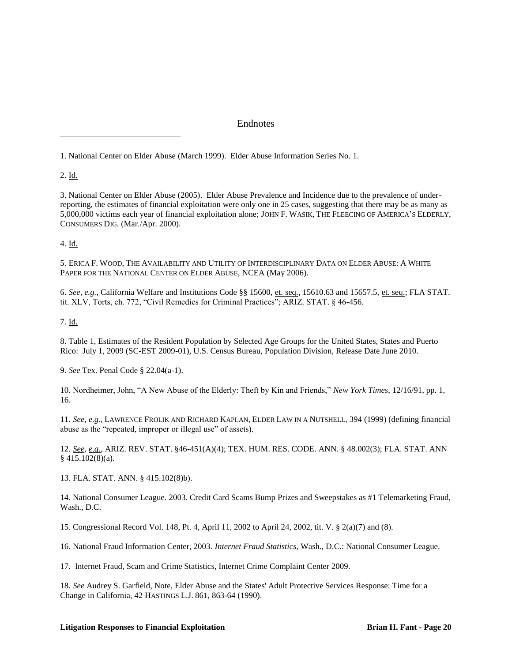### Endnotes

1. National Center on Elder Abuse (March 1999). Elder Abuse Information Series No. 1.

2. Id.

 $\overline{a}$ 

3. National Center on Elder Abuse (2005). Elder Abuse Prevalence and Incidence due to the prevalence of underreporting, the estimates of financial exploitation were only one in 25 cases, suggesting that there may be as many as 5,000,000 victims each year of financial exploitation alone; JOHN F. WASIK, THE FLEECING OF AMERICA'S ELDERLY, CONSUMERS DIG. (Mar./Apr. 2000).

4. Id.

5. ERICA F. WOOD, THE AVAILABILITY AND UTILITY OF INTERDISCIPLINARY DATA ON ELDER ABUSE: A WHITE PAPER FOR THE NATIONAL CENTER ON ELDER ABUSE, NCEA (May 2006).

6. *See, e.g.*, California Welfare and Institutions Code §§ 15600, et. seq., 15610.63 and 15657.5, et. seq.; FLA STAT. tit. XLV, Torts, ch. 772, "Civil Remedies for Criminal Practices"; ARIZ. STAT. § 46-456.

7. Id.

8. Table 1, Estimates of the Resident Population by Selected Age Groups for the United States, States and Puerto Rico: July 1, 2009 (SC-EST 2009-01), U.S. Census Bureau, Population Division, Release Date June 2010.

9. *See* Tex. Penal Code § 22.04(a-1).

10. Nordheimer, John, "A New Abuse of the Elderly: Theft by Kin and Friends," *New York Times*, 12/16/91, pp. 1, 16.

11. *See, e.g.,* LAWRENCE FROLIK AND RICHARD KAPLAN, ELDER LAW IN A NUTSHELL, 394 (1999) (defining financial abuse as the "repeated, improper or illegal use" of assets).

12. *See, e.g.,* ARIZ. REV. STAT. §46-451(A)(4); TEX. HUM. RES. CODE. ANN. § 48.002(3); FLA. STAT. ANN § 415.102(8)(a).

13. FLA. STAT. ANN. § 415.102(8)b).

14. National Consumer League. 2003. Credit Card Scams Bump Prizes and Sweepstakes as #1 Telemarketing Fraud, Wash., D.C.

15. Congressional Record Vol. 148, Pt. 4, April 11, 2002 to April 24, 2002, tit. V. § 2(a)(7) and (8).

16. National Fraud Information Center, 2003. *Internet Fraud Statistics,* Wash., D.C.: National Consumer League.

17. Internet Fraud, Scam and Crime Statistics, Internet Crime Complaint Center 2009.

18. *See* Audrey S. Garfield, Note, Elder Abuse and the States' Adult Protective Services Response: Time for a Change in California, 42 HASTINGS L.J. 861, 863-64 (1990).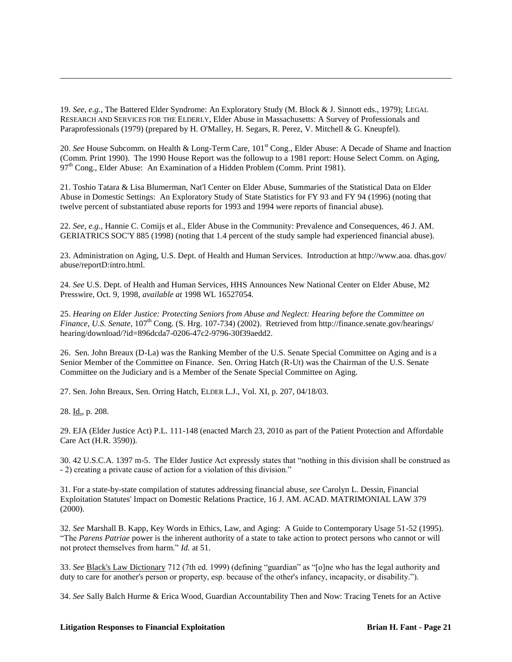19. *See, e.g.,* The Battered Elder Syndrome: An Exploratory Study (M. Block & J. Sinnott eds., 1979); LEGAL RESEARCH AND SERVICES FOR THE ELDERLY, Elder Abuse in Massachusetts: A Survey of Professionals and Paraprofessionals (1979) (prepared by H. O'Malley, H. Segars, R. Perez, V. Mitchell & G. Kneupfel).

20. *See* House Subcomm. on Health & Long-Term Care, 101st Cong., Elder Abuse: A Decade of Shame and Inaction (Comm. Print 1990). The 1990 House Report was the followup to a 1981 report: House Select Comm. on Aging,  $97<sup>th</sup> Cong., Elder Abuse: An Examination of a Hidden Problem (Comm. Print 1981).$ 

21. Toshio Tatara & Lisa Blumerman, Nat'l Center on Elder Abuse, Summaries of the Statistical Data on Elder Abuse in Domestic Settings: An Exploratory Study of State Statistics for FY 93 and FY 94 (1996) (noting that twelve percent of substantiated abuse reports for 1993 and 1994 were reports of financial abuse).

22. *See, e.g.,* Hannie C. Comijs et al., Elder Abuse in the Community: Prevalence and Consequences, 46 J. AM. GERIATRICS SOC'Y 885 (1998) (noting that 1.4 percent of the study sample had experienced financial abuse).

23. Administration on Aging, U.S. Dept. of Health and Human Services. Introduction at http://www.aoa. dhas.gov/ abuse/reportD:intro.html.

24. *See* U.S. Dept. of Health and Human Services, HHS Announces New National Center on Elder Abuse, M2 Presswire, Oct. 9, 1998, *available at* 1998 WL 16527054.

25. *Hearing on Elder Justice: Protecting Seniors from Abuse and Neglect: Hearing before the Committee on Finance, U.S. Senate,* 107<sup>th</sup> Cong. (S. Hrg. 107-734) (2002). Retrieved from http://finance.senate.gov/hearings/ hearing/download/?id=896dcda7-0206-47c2-9796-30f39aedd2.

26. Sen. John Breaux (D-La) was the Ranking Member of the U.S. Senate Special Committee on Aging and is a Senior Member of the Committee on Finance. Sen. Orring Hatch (R-Ut) was the Chairman of the U.S. Senate Committee on the Judiciary and is a Member of the Senate Special Committee on Aging.

27. Sen. John Breaux, Sen. Orring Hatch, ELDER L.J., Vol. XI, p. 207, 04/18/03.

28. Id., p. 208.

 $\overline{a}$ 

29. EJA (Elder Justice Act) P.L. 111-148 (enacted March 23, 2010 as part of the Patient Protection and Affordable Care Act (H.R. 3590)).

30. 42 U.S.C.A. 1397 m-5. The Elder Justice Act expressly states that "nothing in this division shall be construed as - 2) creating a private cause of action for a violation of this division."

31. For a state-by-state compilation of statutes addressing financial abuse, *see* Carolyn L. Dessin, Financial Exploitation Statutes' Impact on Domestic Relations Practice, 16 J. AM. ACAD. MATRIMONIAL LAW 379 (2000).

32. *See* Marshall B. Kapp, Key Words in Ethics, Law, and Aging: A Guide to Contemporary Usage 51-52 (1995). "The *Parens Patriae* power is the inherent authority of a state to take action to protect persons who cannot or will not protect themselves from harm." *Id.* at 51.

33. *See* Black's Law Dictionary 712 (7th ed. 1999) (defining "guardian" as "[o]ne who has the legal authority and duty to care for another's person or property, esp. because of the other's infancy, incapacity, or disability.").

34. *See* Sally Balch Hurme & Erica Wood, Guardian Accountability Then and Now: Tracing Tenets for an Active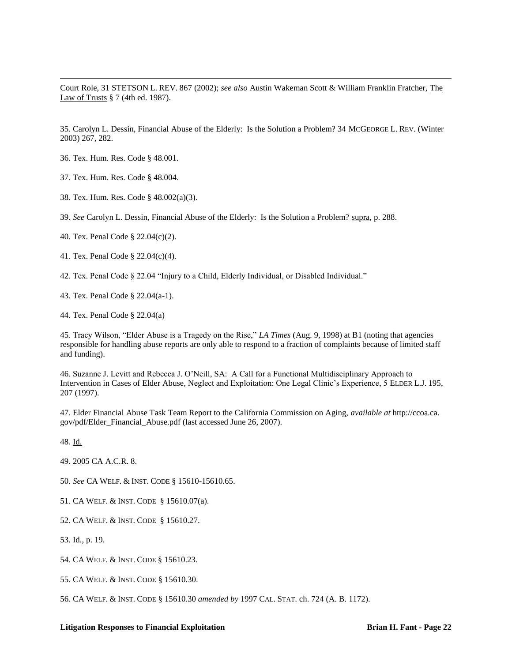Court Role, 31 STETSON L. REV. 867 (2002); *see also* Austin Wakeman Scott & William Franklin Fratcher, The Law of Trusts § 7 (4th ed. 1987).

35. Carolyn L. Dessin, Financial Abuse of the Elderly: Is the Solution a Problem? 34 MCGEORGE L. REV. (Winter 2003) 267, 282.

36. Tex. Hum. Res. Code § 48.001.

 $\overline{a}$ 

37. Tex. Hum. Res. Code § 48.004.

38. Tex. Hum. Res. Code § 48.002(a)(3).

39. *See* Carolyn L. Dessin, Financial Abuse of the Elderly: Is the Solution a Problem? supra, p. 288.

40. Tex. Penal Code § 22.04(c)(2).

41. Tex. Penal Code § 22.04(c)(4).

42. Tex. Penal Code § 22.04 "Injury to a Child, Elderly Individual, or Disabled Individual."

43. Tex. Penal Code § 22.04(a-1).

44. Tex. Penal Code § 22.04(a)

45. Tracy Wilson, "Elder Abuse is a Tragedy on the Rise," *LA Times* (Aug. 9, 1998) at B1 (noting that agencies responsible for handling abuse reports are only able to respond to a fraction of complaints because of limited staff and funding).

46. Suzanne J. Levitt and Rebecca J. O'Neill, SA: A Call for a Functional Multidisciplinary Approach to Intervention in Cases of Elder Abuse, Neglect and Exploitation: One Legal Clinic's Experience, 5 ELDER L.J. 195, 207 (1997).

47. Elder Financial Abuse Task Team Report to the California Commission on Aging, *available at* http://ccoa.ca. gov/pdf/Elder\_Financial\_Abuse.pdf (last accessed June 26, 2007).

48. Id.

49. 2005 CA A.C.R. 8.

50. *See* CA WELF. & INST. CODE § 15610-15610.65.

51. CA WELF. & INST. CODE § 15610.07(a).

52. CA WELF. & INST. CODE § 15610.27.

53. Id., p. 19.

54. CA WELF. & INST. CODE § 15610.23.

55. CA WELF. & INST. CODE § 15610.30.

56. CA WELF. & INST. CODE § 15610.30 *amended by* 1997 CAL. STAT. ch. 724 (A. B. 1172).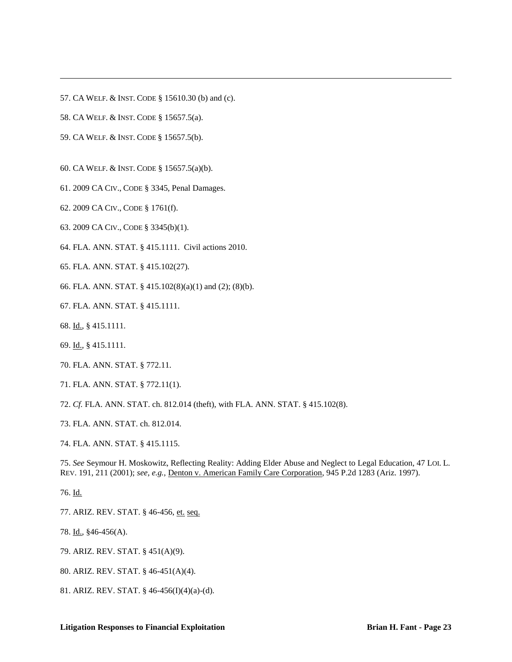- 57. CA WELF. & INST. CODE § 15610.30 (b) and (c).
- 58. CA WELF. & INST. CODE § 15657.5(a).

 $\overline{a}$ 

- 59. CA WELF. & INST. CODE § 15657.5(b).
- 60. CA WELF. & INST. CODE § 15657.5(a)(b).
- 61. 2009 CA CIV., CODE § 3345, Penal Damages.
- 62. 2009 CA CIV., CODE § 1761(f).
- 63. 2009 CA CIV., CODE § 3345(b)(1).
- 64. FLA. ANN. STAT. § 415.1111. Civil actions 2010.
- 65. FLA. ANN. STAT. § 415.102(27).
- 66. FLA. ANN. STAT. § 415.102(8)(a)(1) and (2); (8)(b).
- 67. FLA. ANN. STAT. § 415.1111.
- 68. Id., § 415.1111.
- 69. Id., § 415.1111.
- 70. FLA. ANN. STAT. § 772.11.
- 71. FLA. ANN. STAT. § 772.11(1).
- 72. *Cf.* FLA. ANN. STAT. ch. 812.014 (theft), with FLA. ANN. STAT. § 415.102(8).
- 73. FLA. ANN. STAT. ch. 812.014.
- 74. FLA. ANN. STAT. § 415.1115.

75. *See* Seymour H. Moskowitz, Reflecting Reality: Adding Elder Abuse and Neglect to Legal Education, 47 LOI. L. REV. 191, 211 (2001); *see, e.g.,* Denton v. American Family Care Corporation, 945 P.2d 1283 (Ariz. 1997).

76. Id.

- 77. ARIZ. REV. STAT. § 46-456, et. seq.
- 78. Id., §46-456(A).
- 79. ARIZ. REV. STAT. § 451(A)(9).
- 80. ARIZ. REV. STAT. § 46-451(A)(4).
- 81. ARIZ. REV. STAT. § 46-456(I)(4)(a)-(d).